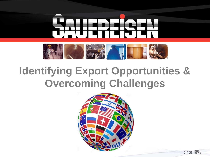

## **Identifying Export Opportunities & Overcoming Challenges**

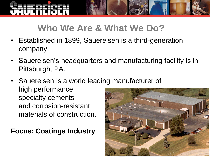# IFRFISFN

#### **Who We Are & What We Do?**

- Established in 1899, Sauereisen is a third-generation company.
- Sauereisen's headquarters and manufacturing facility is in Pittsburgh, PA.
- Sauereisen is a world leading manufacturer of high performance specialty cements and corrosion-resistant materials of construction.

**Focus: Coatings Industry**

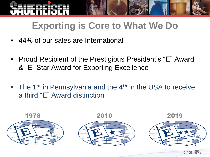## **Exporting is Core to What We Do**

- 44% of our sales are International
- Proud Recipient of the Prestigious President's "E" Award & "E" Star Award for Exporting Excellence
- The 1<sup>st</sup> in Pennsylvania and the 4<sup>th</sup> in the USA to receive a third "E" Award distinction

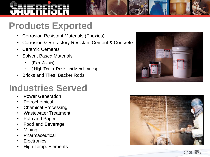# **Products Exported**

- Corrosion Resistant Materials (Epoxies)
- Corrosion & Refractory Resistant Cement & Concrete
- Ceramic Cements
- Solvent Based Materials
	- ∙ (Exp. Joints)
	- ∙ ( High Temp. Resistant Membranes)
- Bricks and Tiles, Backer Rods

#### **Industries Served**

- Power Generation
- **Petrochemical**
- Chemical Processing
- Wastewater Treatment
- Pulp and Paper
- Food and Beverage
- Mining
- **Pharmaceutical**
- **Electronics**
- High Temp. Elements



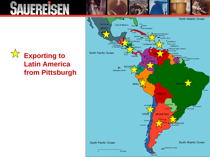

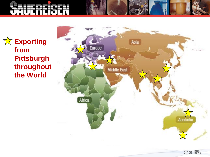**<del>☆</del>** Exporting **from Pittsburgh throughout the World**

**SAUFREIGEN** 



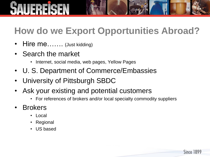## **How do we Export Opportunities Abroad?**

- **Hire me…….** (Just kidding)
- Search the market
	- Internet, social media, web pages, Yellow Pages
- U. S. Department of Commerce/Embassies
- University of Pittsburgh SBDC
- Ask your existing and potential customers
	- For references of brokers and/or local specialty commodity suppliers

- **Brokers** 
	- Local
	- Regional
	- US based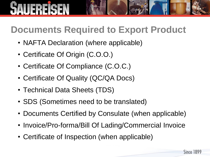#### **Documents Required to Export Product**

- NAFTA Declaration (where applicable)
- Certificate Of Origin (C.O.O.)
- Certificate Of Compliance (C.O.C.)
- Certificate Of Quality (QC/QA Docs)
- Technical Data Sheets (TDS)
- SDS (Sometimes need to be translated)
- Documents Certified by Consulate (when applicable)
- Invoice/Pro-forma/Bill Of Lading/Commercial Invoice
- Certificate of Inspection (when applicable)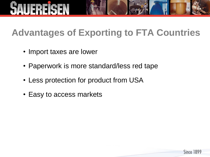

#### **Advantages of Exporting to FTA Countries**

- Import taxes are lower
- Paperwork is more standard/less red tape
- Less protection for product from USA
- Easy to access markets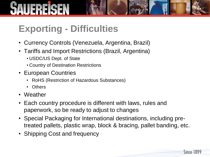#### **Exporting - Difficulties**

- Currency Controls (Venezuela, Argentina, Brazil)
- Tariffs and Import Restrictions (Brazil, Argentina)
	- USDC/US Dept. of State
	- Country of Destination Restrictions
- European Countries
	- RoHS (Restriction of Hazardous Substances)
	- Others
- Weather
- Each country procedure is different with laws, rules and paperwork, so be ready to adjust to changes
- Special Packaging for International destinations, including pretreated pallets, plastic wrap, block & bracing, pallet banding, etc.
- Shipping Cost and frequency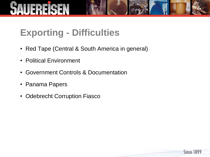#### **Exporting - Difficulties**

• Red Tape (Central & South America in general)

- Political Environment
- Government Controls & Documentation
- Panama Papers
- Odebrecht Corruption Fiasco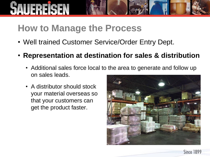#### **How to Manage the Process**

- Well trained Customer Service/Order Entry Dept.
- **Representation at destination for sales & distribution**
	- Additional sales force local to the area to generate and follow up on sales leads.
	- A distributor should stock your material overseas so that your customers can get the product faster.

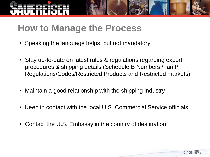#### **How to Manage the Process**

- Speaking the language helps, but not mandatory
- Stay up-to-date on latest rules & regulations regarding export procedures & shipping details (Schedule B Numbers /Tariff/ Regulations/Codes/Restricted Products and Restricted markets)
- Maintain a good relationship with the shipping industry
- Keep in contact with the local U.S. Commercial Service officials
- Contact the U.S. Embassy in the country of destination